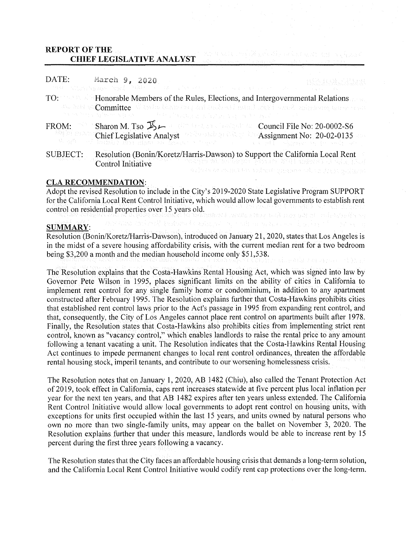## **REPORT OF THE CHIEF LEGISLATIVE ANALYST**

Control Initiative

| DATE:    | March 9, 2020                                                                                                                                                                                                                                                                                                                           | 医眼镜 医心包 医心包                              |
|----------|-----------------------------------------------------------------------------------------------------------------------------------------------------------------------------------------------------------------------------------------------------------------------------------------------------------------------------------------|------------------------------------------|
|          |                                                                                                                                                                                                                                                                                                                                         |                                          |
|          | TO: <b>See Schedule Honorable Members of the Rules, Elections, and Intergovernmental Relations</b>                                                                                                                                                                                                                                      |                                          |
|          | We had a <b>Committee</b> of avera blancing and students man Aurent constitutions of these costs                                                                                                                                                                                                                                        |                                          |
|          | the moth of a personal control of the Southeast Andreast Property of the Control of the Southeast Andreast Andreast                                                                                                                                                                                                                     |                                          |
| FROM:    | Sharon M. Tso $\mathbb{Z}_{\rightarrow}$ and the state is a second File No: 20-0002-S6                                                                                                                                                                                                                                                  |                                          |
|          | <b>Example 20-02-0135</b> Chief Legislative Analyst Chief Constant Contract Assignment No: 20-02-0135<br>the self-count for the above signals of the self-country of the self-country of the self-country of the self-country of the self-country of the self-country of the self-country of the self-country of the self-country of th | A A Set I a subspect on the two sets are |
| SUBJECT: | Resolution (Bonin/Koretz/Harris-Dawson) to Support the California Local Rent<br>i 1940au 1950au 1960au 1960au 1960au 1960au 1960au 1960au 1960au 1960au 1960au 1960au 1960au 1970au 1980au 19<br>Control Initiativo                                                                                                                     |                                          |

## **CLA RECOMMENDATION:**

Adopt the revised Resolution to include in the City's 2019-2020 State Legislative Program SUPPORT for the California Local Rent Control Initiative, which would allow local governments to establish rent control on residential properties over 15 years old. sukcyli ovala stano stili pave slov vi colohistickim

an a mheannach an chuid eilead an an 1970.<br>An Sgrìobh Bhaile ann às a bhaile agus an 1970.

## **SUMMARY:**

Resolution (Bonin/Koretz/Harris-Dawson), introduced on January 21, 2020, states that Los Angeles is in the midst of a severe housing affordability crisis, with the current median rent for a two bedroom being \$3,200 a month and the median household income only \$51,538.

The Resolution explains that the Costa-Hawkins Rental Housing Act, which was signed into law by Governor Pete Wilson in 1995, places significant limits on the ability of cities in California to implement rent control for any single family home or condominium, in addition to any apartment constructed after February 1995. The Resolution explains further that Costa-Hawkins prohibits cities that established rent control laws prior to the Act's passage in 1995 from expanding rent control, and that, consequently, the City of Los Angeles cannot place rent control on apartments built after 1978. Finally, the Resolution states that Costa-Hawkins also prohibits cities from implementing strict rent control, known as "vacancy control," which enables landlords to raise the rental price to any amount following a tenant vacating a unit. The Resolution indicates that the Costa-Hawkins Rental Housing Act continues to impede permanent changes to local rent control ordinances, threaten the affordable rental housing stock, imperil tenants, and contribute to our worsening homelessness crisis.

The Resolution notes that on January 1, 2020, AB 1482 (Chiu), also called the Tenant Protection Act of 2019, took effect in California, caps rent increases statewide at five percent plus local inflation per year for the next ten years, and that AB 1482 expires after ten years unless extended. The California Rent Control Initiative would allow local governments to adopt rent control on housing units, with exceptions for units first occupied within the last 15 years, and units owned by natural persons who own no more than two single-family units, may appear on the ballet on November 3, 2020. The Resolution explains further that under this measure, landlords would be able to increase rent by 15 percent during the first three years following a vacancy.

The Resolution states that the City faces an affordable housing crisis that demands a long-term solution, and the California Local Rent Control Initiative would codify rent cap protections over the long-term.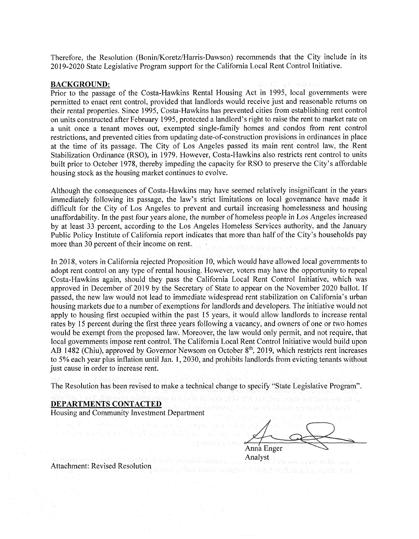Therefore, the Resolution (Bonin/Koretz/Harris-Dawson) recommends that the City include in its 2019-2020 State Legislative Program support for the California Local Rent Control Initiative.

#### **BACKGROUND:**

Prior to the passage of the Costa-Hawkins Rental Housing Act in 1995, local governments were permitted to enact rent control, provided that landlords would receive just and reasonable returns on their rental properties. Since 1995, Costa-Hawkins has prevented cities from establishing rent control on units constructed after February 1995, protected a landlord's right to raise the rent to market rate on a unit once a tenant moves out, exempted single-family homes and condos from rent control restrictions, and prevented cities from updating date-of-construction provisions in ordinances in place at the time of its passage. The City of Los Angeles passed its main rent control law, the Rent Stabilization Ordinance (RSO), in 1979. However, Costa-Hawkins also restricts rent control to units built prior to October 1978, thereby impeding the capacity for RSO to preserve the City's affordable housing stock as the housing market continues to evolve.

Although the consequences of Costa-Hawkins may have seemed relatively insignificant in the years immediately following its passage, the law's strict limitations on local governance have made it difficult for the City of Los Angeles to prevent and curtail increasing homelessness and housing unaffordability. In the past four years alone, the number of homeless people in Los Angeles increased by at least 33 percent, according to the Los Angeles Homeless Services authority, and the January Public Policy Institute of California report indicates that more than half of the City's households pay more than 30 percent of their income on rent.

In 2018, voters in California rejected Proposition 10, which would have allowed local governments to adopt rent control on any type ofrental housing. However, voters may have the opportunity to repeal Costa-Hawkins again, should they pass the California Local Rent Control Initiative, which was approved in December of 2019 by the Secretary of State to appear on the November 2020 ballot. If passed, the new law would not lead to immediate widespread rent stabilization on California's urban housing markets due to a number of exemptions for landlords and developers. The initiative would not apply to housing first occupied within the past 15 years, it would allow landlords to increase rental rates by 15 percent during the first three years following a vacancy, and owners of one or two homes would be exempt from the proposed law. Moreover, the law would only permit, and not require, that local governments impose rent control. The California Local Rent Control Initiative would build upon AB 1482 (Chiu), approved by Governor Newsom on October  $8<sup>th</sup>$ , 2019, which restricts rent increases to 5% each year plus inflation until Jan. 1,2030, and prohibits landlords from evicting tenants without just cause in order to increase rent.

The Resolution has been revised to make a technical change to specify "State Legislative Program".

# **DEPARTMENTS CONTACTED**

Housing and Community Investment Department

a share seema a dhafi sara shki

Anna Enger

Analyst ago e vor iklinitate

Attachment: Revised Resolution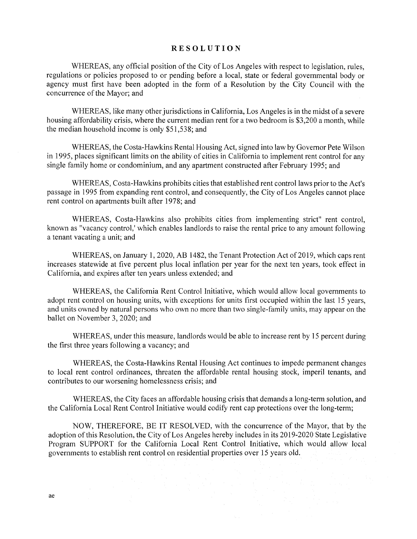### **RESOLUTION**

WHEREAS, any official position of the City of Los Angeles with respect to legislation, rules, regulations or policies proposed to or pending before a local, state or federal governmental body or agency must first have been adopted in the form of a Resolution by the City Council with the concurrence of the Mayor; and

WHEREAS, like many other jurisdictions in California, Los Angeles is in the midst of a severe housing affordability crisis, where the current median rent for a two bedroom is \$3,200 a month, while the median household income is only \$51,538; and

WHEREAS, the Costa-Hawkins Rental Housing Act, signed into law by Governor Pete Wilson in 1995, places significant limits on the ability of cities in California to implement rent control for any single family home or condominium, and any apartment constructed after February 1995; and

WHEREAS, Costa-Hawkins prohibits cities that established rent control laws prior to the Act's passage in 1995 from expanding rent control, and consequently, the City of Los Angeles cannot place rent control on apartments built after 1978; and

WHEREAS, Costa-Hawkins also prohibits cities from implementing strict" rent control, known as "vacancy control,' which enables landlords to raise the rental price to any amount following a tenant vacating a unit; and

WHEREAS, on January 1, 2020, AB 1482, the Tenant Protection Act of 2019, which caps rent increases statewide at five percent plus local inflation per year for the next ten years, took effect in California, and expires after ten years unless extended; and

WHEREAS, the California Rent Control Initiative, which would allow local governments to adopt rent control on housing units, with exceptions for units first occupied within the last 15 years, and units owned by natural persons who own no more than two single-family units, may appear on the ballet on November 3, 2020; and

WHEREAS, under this measure, landlords would be able to increase rent by 15 percent during the first three years following a vacancy; and

WHEREAS, the Costa-Hawkins Rental Housing Act continues to impede permanent changes to local rent control ordinances, threaten the affordable rental housing stock, imperil tenants, and contributes to our worsening homelessness crisis; and

WHEREAS, the City faces an affordable housing crisis that demands a long-term solution, and the California Local Rent Control Initiative would codify rent cap protections over the long-term;

NOW, THEREFORE, BE IT RESOLVED, with the concurrence of the Mayor, that by the adoption of this Resolution, the City of Los Angeles hereby includes in its 2019-2020 State Legislative Program SUPPORT for the California Local Rent Control Initiative, which would allow local governments to establish rent control on residential properties over 15 years old.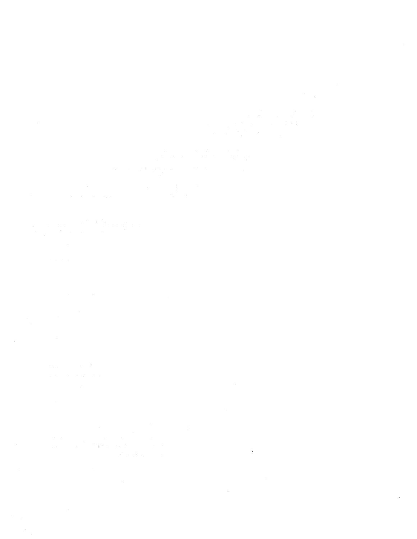$\sim$ 

 $\alpha$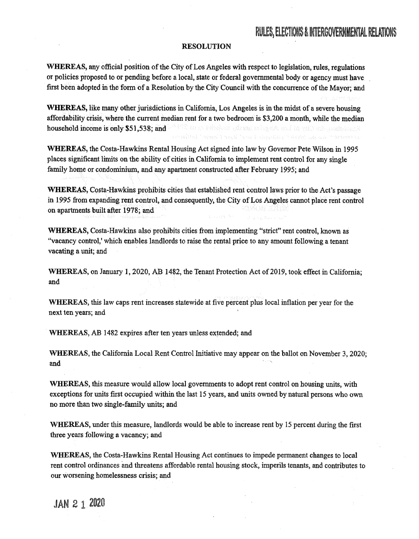# RULES, ELECTIONS & INTERGOVERNMENTAL RELATIONS

#### RESOLUTION

**WHEREAS, any official position** of**the City ofLos Angeles with respect to legislation, rules, regulations or policies proposed to or pending before a local, state or federal governmental body or agency must have first been adopted in the form ofa Resolution by the City Council with the concurrence ofthe Mayor; and**

**WHEREAS, like many other jurisdictions in California, Los Angeles is in the midst of** a **severe housing affordability crisis, where the current median rent for a two bedroom is \$3,200 a month, while the median household income is only \$51,538; and**

**WHEREAS, the Costa-Hawkins Rental Housing Act signed into law by Governor Pete Wilson in 1995 places significant limits on** the **ability of cities in California to implement rent control for any single family home or condominium, and any apartment constructed after February 1995; and**

**WHEREAS, Costa-Hawkins prohibits cities that established rent control laws prior to the Act's passage in 1995 from expanding rent control, and consequently, the City ofLos Angeles cannot place rent control on apartments built after 1978; and**

**WHEREAS, Costa-Hawkins also prohibits cities from implementing "strict" rent control, known as "vacancy control,' which enables landlords to** raise **the rental price to any amount following a tenant vacating a unit; and**

**WHEREAS, on January 1,2020, AB 1482, the Tenant Protection Act of2019, took effect in California; and**

**WHEREAS, this law caps rent increases statewide at five percent plus local inflation per year for the next ten years; and '**

**WHEREAS, AB 1482 expires after ten years unless extended; and**

**WHEREAS, the California Local Rent Control Initiative may appear on the ballot on** November 3,2020; and

**WHEREAS, this measure would allow local governments to adopt rent control on housing units, with** exceptions for units first occupied within the last 15 years, and units owned by natural persons who own **no more than two single-family units; and**

**WHEREAS, under this measure, landlords would be able to increase rent by 15 percent during the first three years following a vacancy; and**

**WHEREAS, the Costa-Hawkins Rental Housing Act continues to impede permanent changes to local rent control ordinances and threatens affordable rental housing stock, imperils tenants, and contributes to our worsening homelessness crisis; and**

JAN 2 **1** 2028